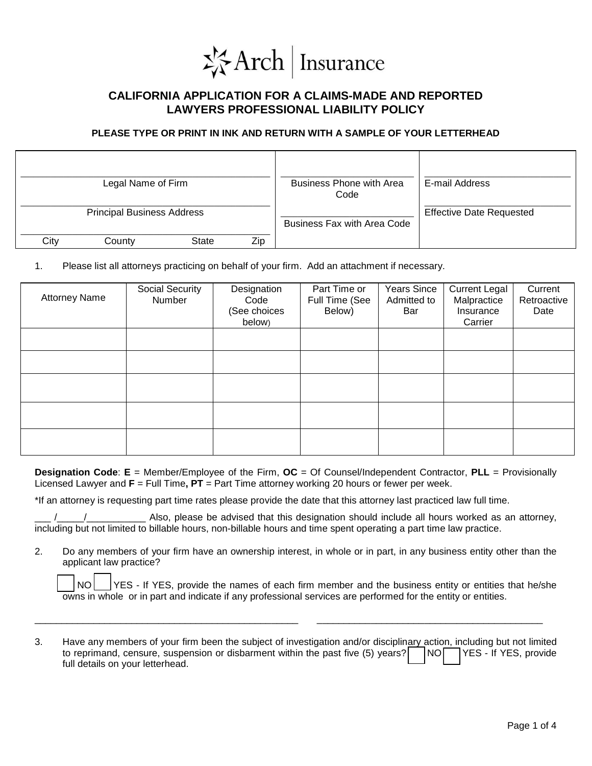

## **CALIFORNIA APPLICATION FOR A CLAIMS-MADE AND REPORTED LAWYERS PROFESSIONAL LIABILITY POLICY**

## **PLEASE TYPE OR PRINT IN INK AND RETURN WITH A SAMPLE OF YOUR LETTERHEAD**

| Legal Name of Firm |                                   |              |     | <b>Business Phone with Area</b><br>Code | E-mail Address                  |
|--------------------|-----------------------------------|--------------|-----|-----------------------------------------|---------------------------------|
|                    | <b>Principal Business Address</b> |              |     | <b>Business Fax with Area Code</b>      | <b>Effective Date Requested</b> |
| City               | County                            | <b>State</b> | Zip |                                         |                                 |

1. Please list all attorneys practicing on behalf of your firm. Add an attachment if necessary.

| <b>Attorney Name</b> | <b>Social Security</b><br>Number | Designation<br>Code<br>(See choices<br>below) | Part Time or<br>Full Time (See<br>Below) | Years Since<br>Admitted to<br>Bar | <b>Current Legal</b><br>Malpractice<br>Insurance<br>Carrier | Current<br>Retroactive<br>Date |
|----------------------|----------------------------------|-----------------------------------------------|------------------------------------------|-----------------------------------|-------------------------------------------------------------|--------------------------------|
|                      |                                  |                                               |                                          |                                   |                                                             |                                |
|                      |                                  |                                               |                                          |                                   |                                                             |                                |
|                      |                                  |                                               |                                          |                                   |                                                             |                                |
|                      |                                  |                                               |                                          |                                   |                                                             |                                |
|                      |                                  |                                               |                                          |                                   |                                                             |                                |

**Designation Code**: **E** = Member/Employee of the Firm, **OC** = Of Counsel/Independent Contractor, **PLL** = Provisionally Licensed Lawyer and **F** = Full Time**, PT** = Part Time attorney working 20 hours or fewer per week.

\*If an attorney is requesting part time rates please provide the date that this attorney last practiced law full time.

Also, please be advised that this designation should include all hours worked as an attorney, including but not limited to billable hours, non-billable hours and time spent operating a part time law practice.

2. Do any members of your firm have an ownership interest, in whole or in part, in any business entity other than the applicant law practice?

NO YES - If YES, provide the names of each firm member and the business entity or entities that he/she owns in whole or in part and indicate if any professional services are performed for the entity or entities.

3. Have any members of your firm been the subject of investigation and/or disciplinary action, including but not limited to reprimand, censure, suspension or disbarment within the past five  $(5)$  years?  $\Box$  NO  $\Box$  YES - If YES, provide full details on your letterhead.

\_\_\_\_\_\_\_\_\_\_\_\_\_\_\_\_\_\_\_\_\_\_\_\_\_\_\_\_\_\_\_\_\_\_\_\_\_\_\_\_\_\_\_\_\_\_\_\_\_ \_\_\_\_\_\_\_\_\_\_\_\_\_\_\_\_\_\_\_\_\_\_\_\_\_\_\_\_\_\_\_\_\_\_\_\_\_\_\_\_\_\_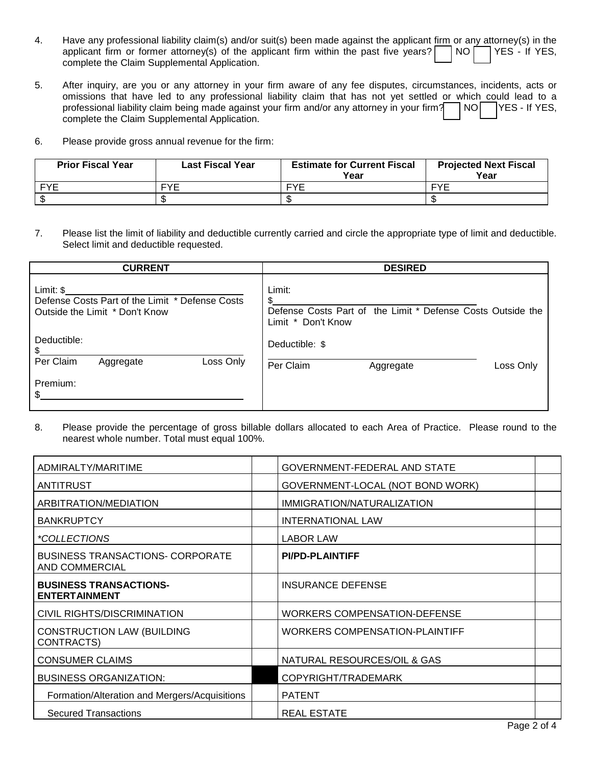| Have any professional liability claim(s) and/or suit(s) been made against the applicant firm or any attorney(s) in the |  |  |  |
|------------------------------------------------------------------------------------------------------------------------|--|--|--|
| applicant firm or former attorney(s) of the applicant firm within the past five years? $\Box$ NO $\Box$ YES - If YES,  |  |  |  |
| complete the Claim Supplemental Application.                                                                           |  |  |  |

- 5. After inquiry, are you or any attorney in your firm aware of any fee disputes, circumstances, incidents, acts or omissions that have led to any professional liability claim that has not yet settled or which could lead to a professional liability claim being made against your firm and/or any attorney in your firm? NO YES - If YES, complete the Claim Supplemental Application.
- 6. Please provide gross annual revenue for the firm:

| <b>Prior Fiscal Year</b> | <b>Last Fiscal Year</b> | <b>Estimate for Current Fiscal</b><br>Year | <b>Projected Next Fiscal</b><br>Year |
|--------------------------|-------------------------|--------------------------------------------|--------------------------------------|
| <b>EVE</b>               | <b>FYF</b>              | ᄄVᄃ                                        | <b>EVE</b>                           |
|                          |                         |                                            |                                      |

7. Please list the limit of liability and deductible currently carried and circle the appropriate type of limit and deductible. Select limit and deductible requested.

| <b>CURRENT</b>                                                                                  | <b>DESIRED</b>                                                                                     |  |  |  |
|-------------------------------------------------------------------------------------------------|----------------------------------------------------------------------------------------------------|--|--|--|
| $Limit: $$<br>Defense Costs Part of the Limit * Defense Costs<br>Outside the Limit * Don't Know | Limit:<br>\$.<br>Defense Costs Part of the Limit * Defense Costs Outside the<br>Limit * Don't Know |  |  |  |
| Deductible:<br>\$.                                                                              | Deductible: \$                                                                                     |  |  |  |
| Loss Only<br>Per Claim<br>Aggregate                                                             | Per Claim<br>Loss Only<br>Aggregate                                                                |  |  |  |
| Premium:<br>\$.                                                                                 |                                                                                                    |  |  |  |

8. Please provide the percentage of gross billable dollars allocated to each Area of Practice. Please round to the nearest whole number. Total must equal 100%.

| ADMIRALTY/MARITIME                                        | GOVERNMENT-FEDERAL AND STATE          |
|-----------------------------------------------------------|---------------------------------------|
| ANTITRUST                                                 | GOVERNMENT-LOCAL (NOT BOND WORK)      |
| ARBITRATION/MEDIATION                                     | IMMIGRATION/NATURALIZATION            |
| <b>BANKRUPTCY</b>                                         | <b>INTERNATIONAL LAW</b>              |
| <i>*COLLECTIONS</i>                                       | <b>LABOR LAW</b>                      |
| <b>BUSINESS TRANSACTIONS- CORPORATE</b><br>AND COMMERCIAL | <b>PI/PD-PLAINTIFF</b>                |
| <b>BUSINESS TRANSACTIONS-</b><br><b>ENTERTAINMENT</b>     | <b>INSURANCE DEFENSE</b>              |
| CIVIL RIGHTS/DISCRIMINATION                               | <b>WORKERS COMPENSATION-DEFENSE</b>   |
| <b>CONSTRUCTION LAW (BUILDING</b><br>CONTRACTS)           | <b>WORKERS COMPENSATION-PLAINTIFF</b> |
| <b>CONSUMER CLAIMS</b>                                    | NATURAL RESOURCES/OIL & GAS           |
| <b>BUSINESS ORGANIZATION:</b>                             | COPYRIGHT/TRADEMARK                   |
| Formation/Alteration and Mergers/Acquisitions             | <b>PATENT</b>                         |
| <b>Secured Transactions</b>                               | <b>REAL ESTATE</b>                    |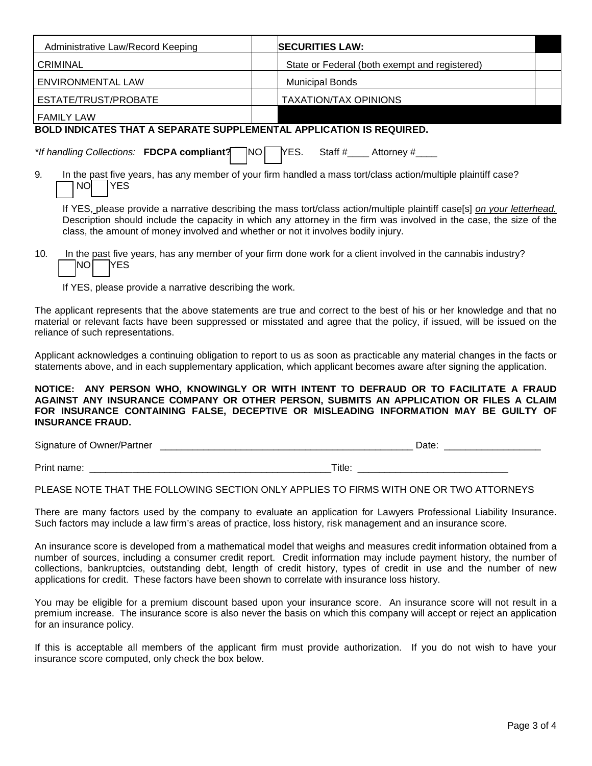| Administrative Law/Record Keeping                                                                                                                                                                                                                                                                                                   | <b>SECURITIES LAW:</b>                            |  |  |  |
|-------------------------------------------------------------------------------------------------------------------------------------------------------------------------------------------------------------------------------------------------------------------------------------------------------------------------------------|---------------------------------------------------|--|--|--|
| <b>CRIMINAL</b>                                                                                                                                                                                                                                                                                                                     | State or Federal (both exempt and registered)     |  |  |  |
| <b>ENVIRONMENTAL LAW</b>                                                                                                                                                                                                                                                                                                            | <b>Municipal Bonds</b>                            |  |  |  |
| ESTATE/TRUST/PROBATE                                                                                                                                                                                                                                                                                                                | <b>TAXATION/TAX OPINIONS</b>                      |  |  |  |
| <b>FAMILY LAW</b>                                                                                                                                                                                                                                                                                                                   |                                                   |  |  |  |
| <b>BOLD INDICATES THAT A SEPARATE SUPPLEMENTAL APPLICATION IS REQUIRED.</b>                                                                                                                                                                                                                                                         |                                                   |  |  |  |
| *If handling Collections: FDCPA compliant?                                                                                                                                                                                                                                                                                          | YES.<br>TNO L<br>Staff $\#$ Attorney $\#$ _______ |  |  |  |
| 9.<br>In the past five years, has any member of your firm handled a mass tort/class action/multiple plaintiff case?<br><b>NO</b><br><b>YES</b>                                                                                                                                                                                      |                                                   |  |  |  |
| If YES, please provide a narrative describing the mass tort/class action/multiple plaintiff case[s] on your letterhead.<br>Description should include the capacity in which any attorney in the firm was involved in the case, the size of the<br>class, the amount of money involved and whether or not it involves bodily injury. |                                                   |  |  |  |
| In the past five years, has any member of your firm done work for a client involved in the cannabis industry?<br>10.<br>INO.<br>IYES                                                                                                                                                                                                |                                                   |  |  |  |
| If YES, please provide a narrative describing the work.                                                                                                                                                                                                                                                                             |                                                   |  |  |  |
| The applicant represents that the above statements are true and correct to the best of his or her knowledge and that no<br>material or relevant facts have been suppressed or misstated and agree that the policy, if issued, will be issued on the<br>reliance of such representations.                                            |                                                   |  |  |  |

Applicant acknowledges a continuing obligation to report to us as soon as practicable any material changes in the facts or statements above, and in each supplementary application, which applicant becomes aware after signing the application.

## **NOTICE: ANY PERSON WHO, KNOWINGLY OR WITH INTENT TO DEFRAUD OR TO FACILITATE A FRAUD AGAINST ANY INSURANCE COMPANY OR OTHER PERSON, SUBMITS AN APPLICATION OR FILES A CLAIM FOR INSURANCE CONTAINING FALSE, DECEPTIVE OR MISLEADING INFORMATION MAY BE GUILTY OF INSURANCE FRAUD.**

Signature of Owner/Partner \_\_\_\_\_\_\_\_\_\_\_\_\_\_\_\_\_\_\_\_\_\_\_\_\_\_\_\_\_\_\_\_\_\_\_\_\_\_\_\_\_\_\_\_\_\_\_ Date: \_\_\_\_\_\_\_\_\_\_\_\_\_\_\_\_\_\_

Print name:  $\Box$  and  $\Box$  and  $\Box$  and  $\Box$  and  $\Box$  and  $\Box$  and  $\Box$  and  $\Box$  and  $\Box$  and  $\Box$  and  $\Box$  and  $\Box$  and  $\Box$  and  $\Box$  and  $\Box$  and  $\Box$  and  $\Box$  and  $\Box$  and  $\Box$  and  $\Box$  and  $\Box$  and  $\Box$  and  $\Box$  and  $\Box$ 

## PLEASE NOTE THAT THE FOLLOWING SECTION ONLY APPLIES TO FIRMS WITH ONE OR TWO ATTORNEYS

There are many factors used by the company to evaluate an application for Lawyers Professional Liability Insurance. Such factors may include a law firm's areas of practice, loss history, risk management and an insurance score.

An insurance score is developed from a mathematical model that weighs and measures credit information obtained from a number of sources, including a consumer credit report. Credit information may include payment history, the number of collections, bankruptcies, outstanding debt, length of credit history, types of credit in use and the number of new applications for credit. These factors have been shown to correlate with insurance loss history.

You may be eligible for a premium discount based upon your insurance score. An insurance score will not result in a premium increase. The insurance score is also never the basis on which this company will accept or reject an application for an insurance policy.

If this is acceptable all members of the applicant firm must provide authorization. If you do not wish to have your insurance score computed, only check the box below.